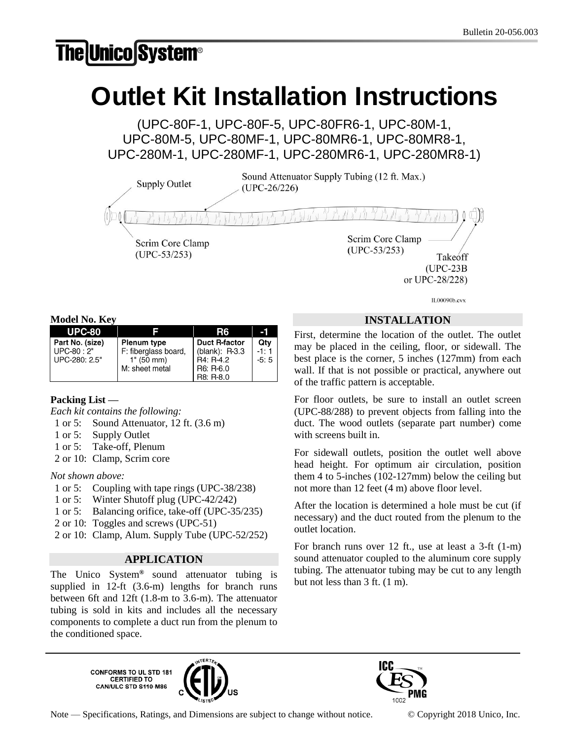## **The Unico System®**

# Outlet Kit Installation Instructions

(UPC-80F-1, UPC-80F-5, UPC-80FR6-1, UPC-80M-1, UPC-80M-5, UPC-80MF-1, UPC-80MR6-1, UPC-80MR8-1, UPC-280M-1, UPC-280MF-1, UPC-280MR6-1, UPC-280MR8-1)

Sound Attenuator Supply Tubing (12 ft. Max.) **Supply Outlet**  $(UPC-26/226)$ Scrim Core Clamp Scrim Core Clamp  $(UPC-53/253)$  $(UPC-53/253)$ Takeoff

 $(UPC-23B)$ or UPC-28/228)

IL00090b.cvx

**Model No. Key**

| .               |                      |                      |        |
|-----------------|----------------------|----------------------|--------|
| <b>UPC-80</b>   |                      | R6                   | -1     |
| Part No. (size) | <b>Plenum type</b>   | <b>Duct R-factor</b> | Qty    |
| $UPC-80:2"$     | F: fiberglass board, | (blank): $R3.3$      | $-1:1$ |
| UPC-280: 2.5"   | 1" (50 mm)           | R4: R-4.2            | $-5:5$ |
|                 | M: sheet metal       | R6: R-6.0            |        |
|                 |                      | R8: R-8.0            |        |

## **Packing List —**

*Each kit contains the following:*

- 1 or 5: Sound Attenuator, 12 ft. (3.6 m)
- 1 or 5: Supply Outlet
- 1 or 5: Take-off, Plenum
- 2 or 10: Clamp, Scrim core

## *Not shown above:*

- 1 or 5: Coupling with tape rings (UPC-38/238)
- 1 or 5: Winter Shutoff plug (UPC-42/242)
- 1 or 5: Balancing orifice, take-off (UPC-35/235)
- 2 or 10: Toggles and screws (UPC-51)
- 2 or 10: Clamp, Alum. Supply Tube (UPC-52/252)

## **APPLICATION**

The Unico System**®** sound attenuator tubing is supplied in 12-ft (3.6-m) lengths for branch runs between 6ft and 12ft (1.8-m to 3.6-m). The attenuator tubing is sold in kits and includes all the necessary components to complete a duct run from the plenum to the conditioned space.

> **CONFORMS TO UL STD 181<br>CERTIFIED TO** CAN/ULC STD S110-M86





Note — Specifications, Ratings, and Dimensions are subject to change without notice. © Copyright 2018 Unico, Inc.

**INSTALLATION**

First, determine the location of the outlet. The outlet may be placed in the ceiling, floor, or sidewall. The best place is the corner, 5 inches (127mm) from each wall. If that is not possible or practical, anywhere out of the traffic pattern is acceptable.

For floor outlets, be sure to install an outlet screen (UPC-88/288) to prevent objects from falling into the duct. The wood outlets (separate part number) come with screens built in.

For sidewall outlets, position the outlet well above head height. For optimum air circulation, position them 4 to 5-inches (102-127mm) below the ceiling but not more than 12 feet (4 m) above floor level.

After the location is determined a hole must be cut (if necessary) and the duct routed from the plenum to the outlet location.

For branch runs over 12 ft., use at least a 3-ft (1-m) sound attenuator coupled to the aluminum core supply tubing. The attenuator tubing may be cut to any length but not less than 3 ft. (1 m).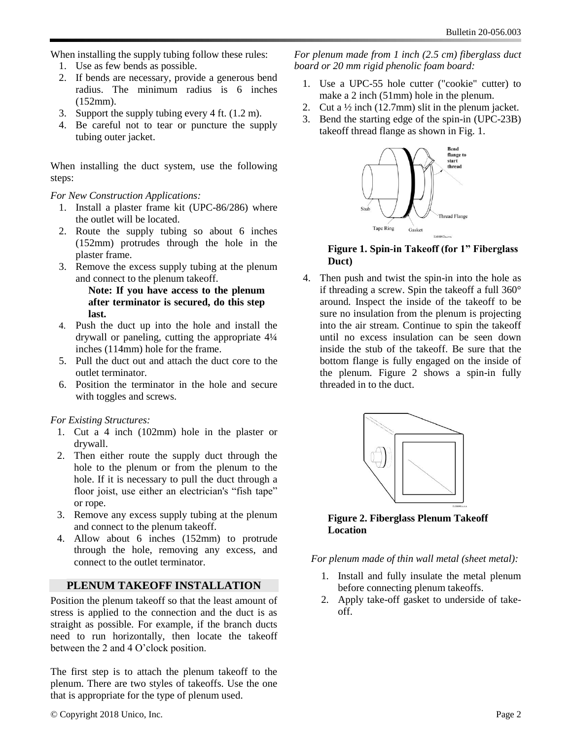When installing the supply tubing follow these rules:

- 1. Use as few bends as possible.
- 2. If bends are necessary, provide a generous bend radius. The minimum radius is 6 inches (152mm).
- 3. Support the supply tubing every 4 ft. (1.2 m).
- 4. Be careful not to tear or puncture the supply tubing outer jacket.

When installing the duct system, use the following steps:

#### *For New Construction Applications:*

- 1. Install a plaster frame kit (UPC-86/286) where the outlet will be located.
- 2. Route the supply tubing so about 6 inches (152mm) protrudes through the hole in the plaster frame.
- 3. Remove the excess supply tubing at the plenum and connect to the plenum takeoff.

**Note: If you have access to the plenum after terminator is secured, do this step last.**

- 4. Push the duct up into the hole and install the drywall or paneling, cutting the appropriate 4¼ inches (114mm) hole for the frame.
- 5. Pull the duct out and attach the duct core to the outlet terminator.
- 6. Position the terminator in the hole and secure with toggles and screws.

#### *For Existing Structures:*

- 1. Cut a 4 inch (102mm) hole in the plaster or drywall.
- 2. Then either route the supply duct through the hole to the plenum or from the plenum to the hole. If it is necessary to pull the duct through a floor joist, use either an electrician's "fish tape" or rope.
- 3. Remove any excess supply tubing at the plenum and connect to the plenum takeoff.
- 4. Allow about 6 inches (152mm) to protrude through the hole, removing any excess, and connect to the outlet terminator.

### **PLENUM TAKEOFF INSTALLATION**

Position the plenum takeoff so that the least amount of stress is applied to the connection and the duct is as straight as possible. For example, if the branch ducts need to run horizontally, then locate the takeoff between the 2 and 4 O'clock position.

The first step is to attach the plenum takeoff to the plenum. There are two styles of takeoffs. Use the one that is appropriate for the type of plenum used.

*For plenum made from 1 inch (2.5 cm) fiberglass duct board or 20 mm rigid phenolic foam board:*

- 1. Use a UPC-55 hole cutter ("cookie" cutter) to make a 2 inch (51mm) hole in the plenum.
- 2. Cut a  $\frac{1}{2}$  inch (12.7mm) slit in the plenum jacket.
- 3. Bend the starting edge of the spin-in (UPC-23B) takeoff thread flange as shown in Fig. 1.



#### **Figure 1. Spin-in Takeoff (for 1" Fiberglass Duct)**

4. Then push and twist the spin-in into the hole as if threading a screw. Spin the takeoff a full 360° around. Inspect the inside of the takeoff to be sure no insulation from the plenum is projecting into the air stream. Continue to spin the takeoff until no excess insulation can be seen down inside the stub of the takeoff. Be sure that the bottom flange is fully engaged on the inside of the plenum. Figure 2 shows a spin-in fully threaded in to the duct.



**Figure 2. Fiberglass Plenum Takeoff Location**

*For plenum made of thin wall metal (sheet metal):*

- 1. Install and fully insulate the metal plenum before connecting plenum takeoffs.
- 2. Apply take-off gasket to underside of takeoff.